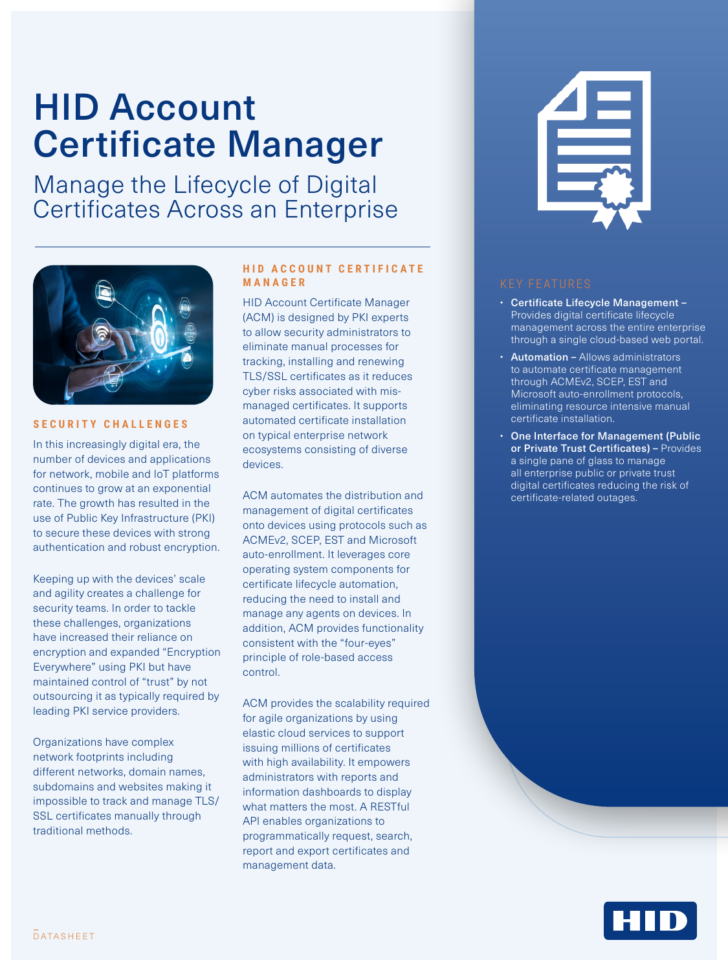# HID Account Certificate Manager

Manage the Lifecycle of Digital Certificates Across an Enterprise



## **SECURITY CHALLENGES**

In this increasingly digital era, the number of devices and applications for network, mobile and IoT platforms continues to grow at an exponential rate. The growth has resulted in the use of Public Key Infrastructure (PKI) to secure these devices with strong authentication and robust encryption.

Keeping up with the devices' scale and agility creates a challenge for security teams. In order to tackle these challenges, organizations have increased their reliance on encryption and expanded "Encryption Everywhere" using PKI but have maintained control of "trust" by not outsourcing it as typically required by leading PKI service providers.

Organizations have complex network footprints including different networks, domain names, subdomains and websites making it impossible to track and manage TLS/ SSL certificates manually through traditional methods.

## **HID ACCOUNT CERTIFICATE MANAGER**

HID Account Certificate Manager (ACM) is designed by PKI experts to allow security administrators to eliminate manual processes for tracking, installing and renewing TLS/SSL certificates as it reduces cyber risks associated with mismanaged certificates. It supports automated certificate installation on typical enterprise network ecosystems consisting of diverse devices.

ACM automates the distribution and management of digital certificates onto devices using protocols such as ACMEv2, SCEP, EST and Microsoft auto-enrollment. It leverages core operating system components for certificate lifecycle automation, reducing the need to install and manage any agents on devices. In addition, ACM provides functionality consistent with the "four-eyes" principle of role-based access control.

ACM provides the scalability required for agile organizations by using elastic cloud services to support issuing millions of certificates with high availability. It empowers administrators with reports and information dashboards to display what matters the most. A RESTful API enables organizations to programmatically request, search, report and export certificates and management data.



- Certificate Lifecycle Management Provides digital certificate lifecycle management across the entire enterprise through a single cloud-based web portal.
- Automation Allows administrators to automate certificate management through ACMEv2, SCEP, EST and Microsoft auto-enrollment protocols, eliminating resource intensive manual certificate installation.
- One Interface for Management (Public or Private Trust Certificates) - Provides a single pane of glass to manage all enterprise public or private trust digital certificates reducing the risk of certificate-related outages.